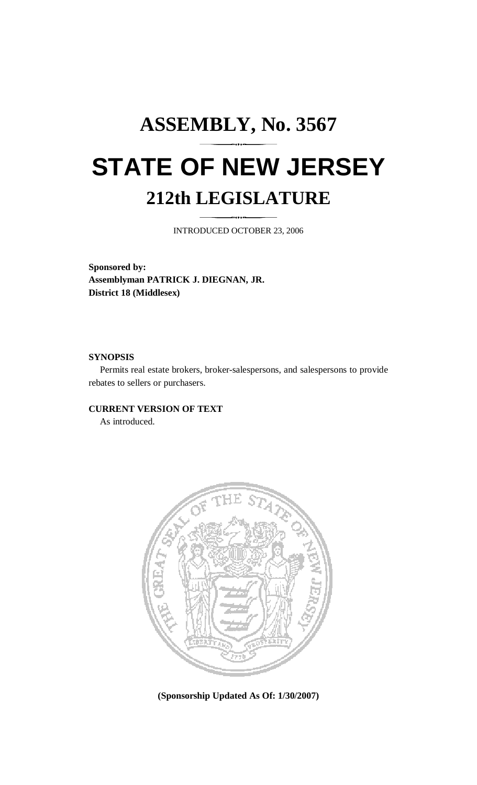# **ASSEMBLY, No. 3567 STATE OF NEW JERSEY 212th LEGISLATURE**

INTRODUCED OCTOBER 23, 2006

**Sponsored by: Assemblyman PATRICK J. DIEGNAN, JR. District 18 (Middlesex)** 

#### **SYNOPSIS**

 Permits real estate brokers, broker-salespersons, and salespersons to provide rebates to sellers or purchasers.

#### **CURRENT VERSION OF TEXT**

As introduced.



**(Sponsorship Updated As Of: 1/30/2007)**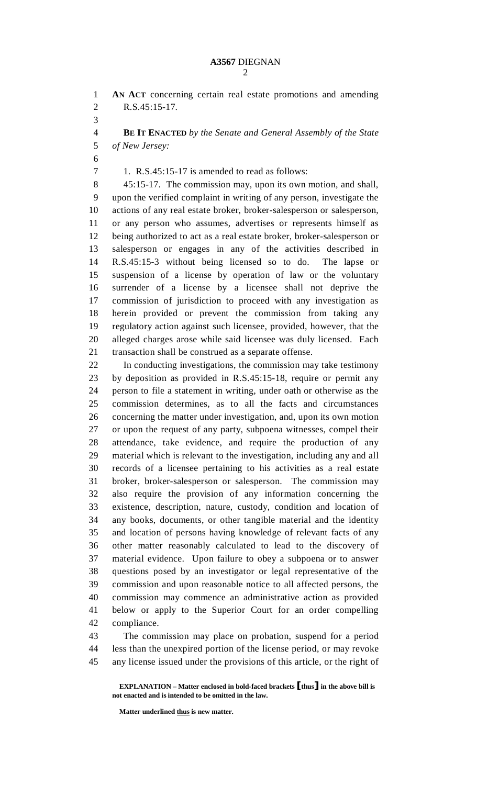1 **AN ACT** concerning certain real estate promotions and amending 2 R.S.45:15-17.

3

4 **BE IT ENACTED** *by the Senate and General Assembly of the State*  5 *of New Jersey:*

6

7 1. R.S.45:15-17 is amended to read as follows:

8 45:15-17. The commission may, upon its own motion, and shall, 9 upon the verified complaint in writing of any person, investigate the 10 actions of any real estate broker, broker-salesperson or salesperson, 11 or any person who assumes, advertises or represents himself as 12 being authorized to act as a real estate broker, broker-salesperson or 13 salesperson or engages in any of the activities described in 14 R.S.45:15-3 without being licensed so to do. The lapse or 15 suspension of a license by operation of law or the voluntary 16 surrender of a license by a licensee shall not deprive the 17 commission of jurisdiction to proceed with any investigation as 18 herein provided or prevent the commission from taking any 19 regulatory action against such licensee, provided, however, that the 20 alleged charges arose while said licensee was duly licensed. Each 21 transaction shall be construed as a separate offense.

22 In conducting investigations, the commission may take testimony 23 by deposition as provided in R.S.45:15-18, require or permit any 24 person to file a statement in writing, under oath or otherwise as the 25 commission determines, as to all the facts and circumstances 26 concerning the matter under investigation, and, upon its own motion 27 or upon the request of any party, subpoena witnesses, compel their 28 attendance, take evidence, and require the production of any 29 material which is relevant to the investigation, including any and all 30 records of a licensee pertaining to his activities as a real estate 31 broker, broker-salesperson or salesperson. The commission may 32 also require the provision of any information concerning the 33 existence, description, nature, custody, condition and location of 34 any books, documents, or other tangible material and the identity 35 and location of persons having knowledge of relevant facts of any 36 other matter reasonably calculated to lead to the discovery of 37 material evidence. Upon failure to obey a subpoena or to answer 38 questions posed by an investigator or legal representative of the 39 commission and upon reasonable notice to all affected persons, the 40 commission may commence an administrative action as provided 41 below or apply to the Superior Court for an order compelling 42 compliance.

43 The commission may place on probation, suspend for a period 44 less than the unexpired portion of the license period, or may revoke 45 any license issued under the provisions of this article, or the right of

 **EXPLANATION – Matter enclosed in bold-faced brackets** [**thus**] **in the above bill is not enacted and is intended to be omitted in the law.** 

 **Matter underlined thus is new matter.**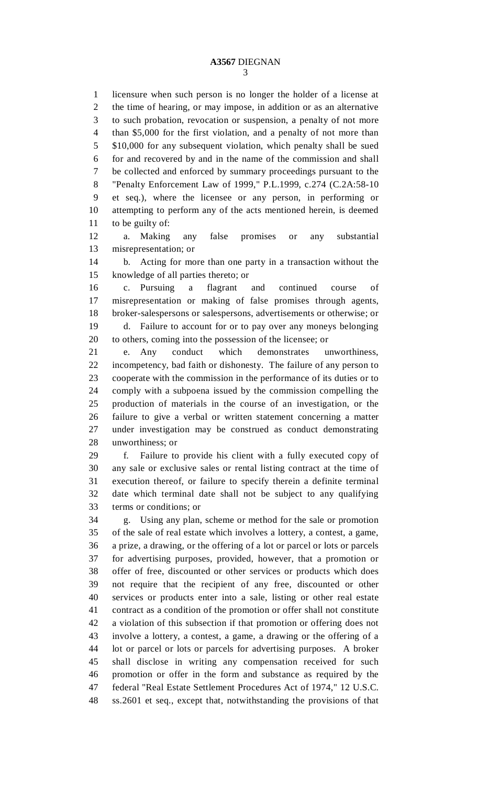3

1 licensure when such person is no longer the holder of a license at 2 the time of hearing, or may impose, in addition or as an alternative 3 to such probation, revocation or suspension, a penalty of not more 4 than \$5,000 for the first violation, and a penalty of not more than 5 \$10,000 for any subsequent violation, which penalty shall be sued 6 for and recovered by and in the name of the commission and shall 7 be collected and enforced by summary proceedings pursuant to the 8 "Penalty Enforcement Law of 1999," P.L.1999, c.274 (C.2A:58-10 9 et seq.), where the licensee or any person, in performing or 10 attempting to perform any of the acts mentioned herein, is deemed 11 to be guilty of:

12 a. Making any false promises or any substantial 13 misrepresentation; or

14 b. Acting for more than one party in a transaction without the 15 knowledge of all parties thereto; or

16 c. Pursuing a flagrant and continued course of 17 misrepresentation or making of false promises through agents, 18 broker-salespersons or salespersons, advertisements or otherwise; or 19 d. Failure to account for or to pay over any moneys belonging 20 to others, coming into the possession of the licensee; or

21 e. Any conduct which demonstrates unworthiness, 22 incompetency, bad faith or dishonesty. The failure of any person to 23 cooperate with the commission in the performance of its duties or to 24 comply with a subpoena issued by the commission compelling the 25 production of materials in the course of an investigation, or the 26 failure to give a verbal or written statement concerning a matter 27 under investigation may be construed as conduct demonstrating 28 unworthiness; or

29 f. Failure to provide his client with a fully executed copy of 30 any sale or exclusive sales or rental listing contract at the time of 31 execution thereof, or failure to specify therein a definite terminal 32 date which terminal date shall not be subject to any qualifying 33 terms or conditions; or

34 g. Using any plan, scheme or method for the sale or promotion 35 of the sale of real estate which involves a lottery, a contest, a game, 36 a prize, a drawing, or the offering of a lot or parcel or lots or parcels 37 for advertising purposes, provided, however, that a promotion or 38 offer of free, discounted or other services or products which does 39 not require that the recipient of any free, discounted or other 40 services or products enter into a sale, listing or other real estate 41 contract as a condition of the promotion or offer shall not constitute 42 a violation of this subsection if that promotion or offering does not 43 involve a lottery, a contest, a game, a drawing or the offering of a 44 lot or parcel or lots or parcels for advertising purposes. A broker 45 shall disclose in writing any compensation received for such 46 promotion or offer in the form and substance as required by the 47 federal "Real Estate Settlement Procedures Act of 1974," 12 U.S.C. 48 ss.2601 et seq., except that, notwithstanding the provisions of that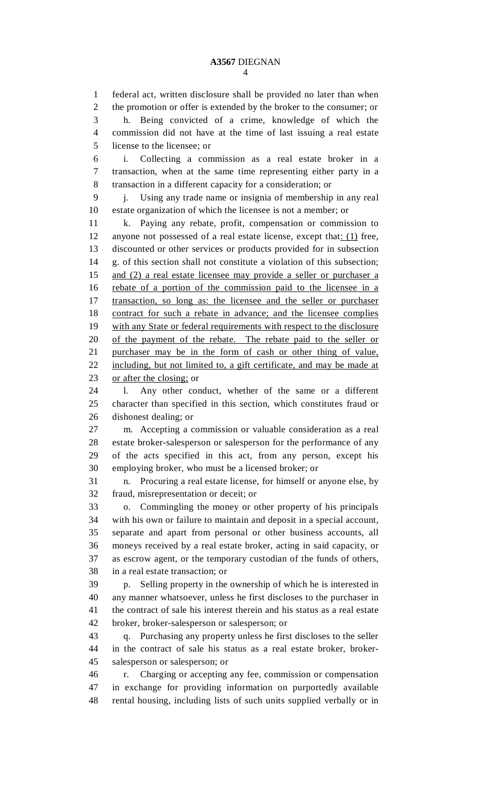1 federal act, written disclosure shall be provided no later than when 2 the promotion or offer is extended by the broker to the consumer; or 3 h. Being convicted of a crime, knowledge of which the 4 commission did not have at the time of last issuing a real estate 5 license to the licensee; or 6 i. Collecting a commission as a real estate broker in a 7 transaction, when at the same time representing either party in a 8 transaction in a different capacity for a consideration; or 9 j. Using any trade name or insignia of membership in any real 10 estate organization of which the licensee is not a member; or 11 k. Paying any rebate, profit, compensation or commission to 12 anyone not possessed of a real estate license, except that: (1) free, 13 discounted or other services or products provided for in subsection 14 g. of this section shall not constitute a violation of this subsection; 15 and (2) a real estate licensee may provide a seller or purchaser a 16 rebate of a portion of the commission paid to the licensee in a 17 transaction, so long as: the licensee and the seller or purchaser 18 contract for such a rebate in advance; and the licensee complies 19 with any State or federal requirements with respect to the disclosure 20 of the payment of the rebate. The rebate paid to the seller or 21 purchaser may be in the form of cash or other thing of value, 22 including, but not limited to, a gift certificate, and may be made at 23 or after the closing; or 24 l. Any other conduct, whether of the same or a different 25 character than specified in this section, which constitutes fraud or 26 dishonest dealing; or 27 m. Accepting a commission or valuable consideration as a real 28 estate broker-salesperson or salesperson for the performance of any 29 of the acts specified in this act, from any person, except his 30 employing broker, who must be a licensed broker; or 31 n. Procuring a real estate license, for himself or anyone else, by 32 fraud, misrepresentation or deceit; or 33 o. Commingling the money or other property of his principals 34 with his own or failure to maintain and deposit in a special account, 35 separate and apart from personal or other business accounts, all 36 moneys received by a real estate broker, acting in said capacity, or 37 as escrow agent, or the temporary custodian of the funds of others, 38 in a real estate transaction; or 39 p. Selling property in the ownership of which he is interested in 40 any manner whatsoever, unless he first discloses to the purchaser in 41 the contract of sale his interest therein and his status as a real estate 42 broker, broker-salesperson or salesperson; or 43 q. Purchasing any property unless he first discloses to the seller 44 in the contract of sale his status as a real estate broker, broker-45 salesperson or salesperson; or 46 r. Charging or accepting any fee, commission or compensation 47 in exchange for providing information on purportedly available 48 rental housing, including lists of such units supplied verbally or in